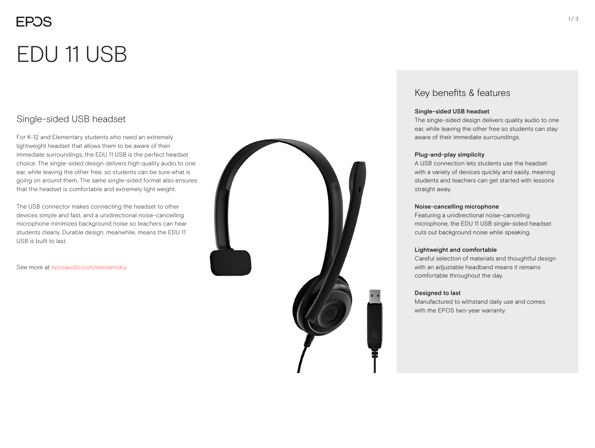# **FPOS** EDU 11 USB

## Single-sided USB headset

For K-12 and Elementary students who need an extremely lightweight headset that allows them to be aware of their immediate surroundings, the EDU 11 USB is the perfect headset choice. The single-sided design delivers high quality audio to one ear, while leaving the other free, so students can be sure what is going on around them. The same single-sided format also ensures that the headset is comfortable and extremely light weight.

The USB connector makes connecting the headset to other devices simple and fast, and a unidirectional noise-cancelling microphone minimizes background noise so teachers can hear students clearly. Durable design, meanwhile, means the EDU 11 USB is built to last.

See more at eposaudio.com/elementary



### Key benefits & features

#### Single-sided USB headset

The single-sided design delivers quality audio to one ear, while leaving the other free so students can stay aware of their immediate surroundings.

#### Plug-and-play simplicity

A USB connection lets students use the headset with a variety of devices quickly and easily, meaning students and teachers can get started with lessons straight away.

#### Noise-cancelling microphone

Featuring a unidirectional noise-canceling microphone, the EDU 11 USB single-sided headset cuts out background noise while speaking.

#### Lightweight and comfortable

Careful selection of materials and thoughtful design with an adjustable headband means it remains comfortable throughout the day.

#### Designed to last

Manufactured to withstand daily use and comes with the EPOS two-year warranty.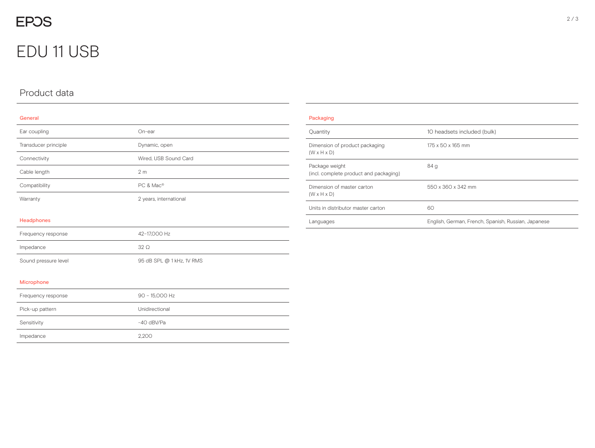## **EPOS**

## EDU 11 USB

### Product data

#### General

| Ear coupling         | On-ear                    |
|----------------------|---------------------------|
| Transducer principle | Dynamic, open             |
| Connectivity         | Wired, USB Sound Card     |
| Cable length         | 2 <sub>m</sub>            |
| Compatibility        | PC & Mac <sup>®</sup>     |
| Warranty             | 2 years, international    |
| Headphones           |                           |
| Frequency response   | 42-17,000 Hz              |
| Impedance            | $32\Omega$                |
| Sound pressure level | 95 dB SPL @ 1 kHz, 1V RMS |
| Microphone           |                           |
| Frequency response   | 90 - 15,000 Hz            |
| Pick-up pattern      | Unidirectional            |
| Sensitivity          | -40 dBV/Pa                |
| Impedance            | 2,200                     |

| Packaging                                                 |                                                     |  |
|-----------------------------------------------------------|-----------------------------------------------------|--|
| Quantity                                                  | 10 headsets included (bulk)                         |  |
| Dimension of product packaging<br>$(W \times H \times D)$ | 175 x 50 x 165 mm                                   |  |
| Package weight<br>(incl. complete product and packaging)  | 84 <sub>g</sub>                                     |  |
| Dimension of master carton<br>$(W \times H \times D)$     | 550 x 360 x 342 mm                                  |  |
| Units in distributor master carton                        | 60                                                  |  |
| Languages                                                 | English, German, French, Spanish, Russian, Japanese |  |